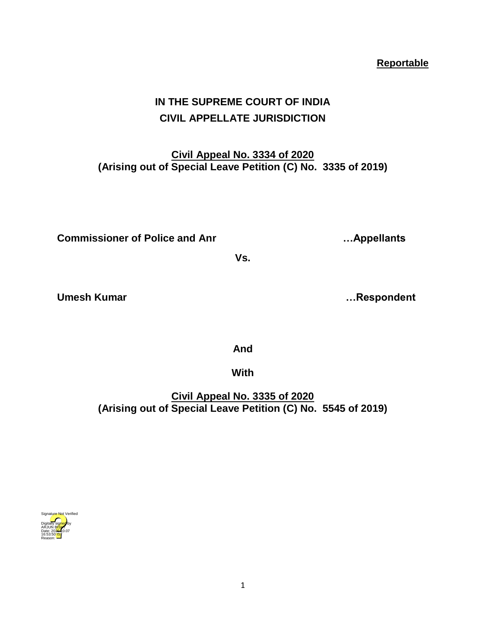**IN THE SUPREME COURT OF INDIA**

**CIVIL APPELLATE JURISDICTION**

**Civil Appeal No. 3334 of 2020 (Arising out of Special Leave Petition (C) No. 3335 of 2019)**

**Commissioner of Police and Anr …Appellants**

Umesh Kumar **Manusian Strutter Controllering Controllering Controllering Controllering Controllering Controllering Controllering Controllering Controllering Controllering Controllering Controllering Controllering Controlle** 

**And** 

**Vs.**

**With** 

**Civil Appeal No. 3335 of 2020 (Arising out of Special Leave Petition (C) No. 5545 of 2019)**

## Digitally signed by arjun B<mark>ish</mark>t Date: 2020.10.07 16:53:50 **IST** Reason: Signature Not Verified

**Reportable**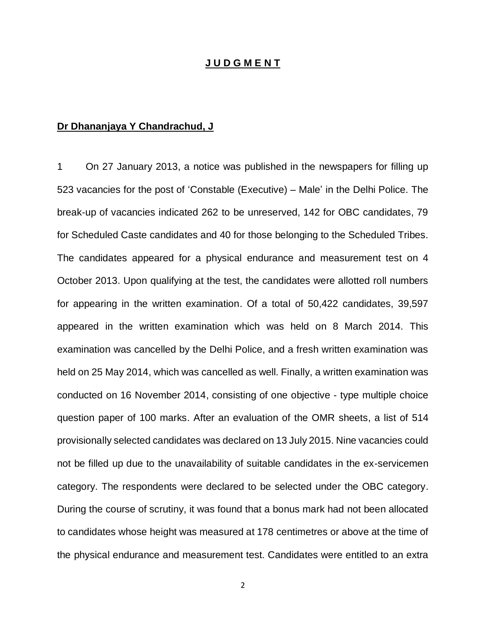## **J U D G M E N T**

## **Dr Dhananjaya Y Chandrachud, J**

1 On 27 January 2013, a notice was published in the newspapers for filling up 523 vacancies for the post of 'Constable (Executive) – Male' in the Delhi Police. The break-up of vacancies indicated 262 to be unreserved, 142 for OBC candidates, 79 for Scheduled Caste candidates and 40 for those belonging to the Scheduled Tribes. The candidates appeared for a physical endurance and measurement test on 4 October 2013. Upon qualifying at the test, the candidates were allotted roll numbers for appearing in the written examination. Of a total of 50,422 candidates, 39,597 appeared in the written examination which was held on 8 March 2014. This examination was cancelled by the Delhi Police, and a fresh written examination was held on 25 May 2014, which was cancelled as well. Finally, a written examination was conducted on 16 November 2014, consisting of one objective - type multiple choice question paper of 100 marks. After an evaluation of the OMR sheets, a list of 514 provisionally selected candidates was declared on 13 July 2015. Nine vacancies could not be filled up due to the unavailability of suitable candidates in the ex-servicemen category. The respondents were declared to be selected under the OBC category. During the course of scrutiny, it was found that a bonus mark had not been allocated to candidates whose height was measured at 178 centimetres or above at the time of the physical endurance and measurement test. Candidates were entitled to an extra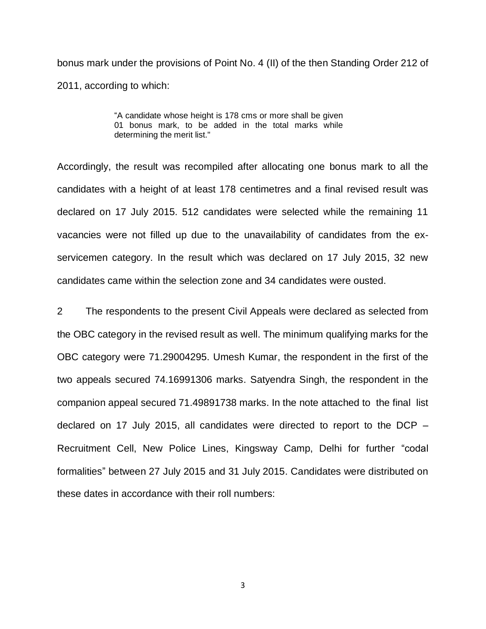bonus mark under the provisions of Point No. 4 (II) of the then Standing Order 212 of 2011, according to which:

> "A candidate whose height is 178 cms or more shall be given 01 bonus mark, to be added in the total marks while determining the merit list."

Accordingly, the result was recompiled after allocating one bonus mark to all the candidates with a height of at least 178 centimetres and a final revised result was declared on 17 July 2015. 512 candidates were selected while the remaining 11 vacancies were not filled up due to the unavailability of candidates from the exservicemen category. In the result which was declared on 17 July 2015, 32 new candidates came within the selection zone and 34 candidates were ousted.

2 The respondents to the present Civil Appeals were declared as selected from the OBC category in the revised result as well. The minimum qualifying marks for the OBC category were 71.29004295. Umesh Kumar, the respondent in the first of the two appeals secured 74.16991306 marks. Satyendra Singh, the respondent in the companion appeal secured 71.49891738 marks. In the note attached to the final list declared on 17 July 2015, all candidates were directed to report to the DCP – Recruitment Cell, New Police Lines, Kingsway Camp, Delhi for further "codal formalities" between 27 July 2015 and 31 July 2015. Candidates were distributed on these dates in accordance with their roll numbers: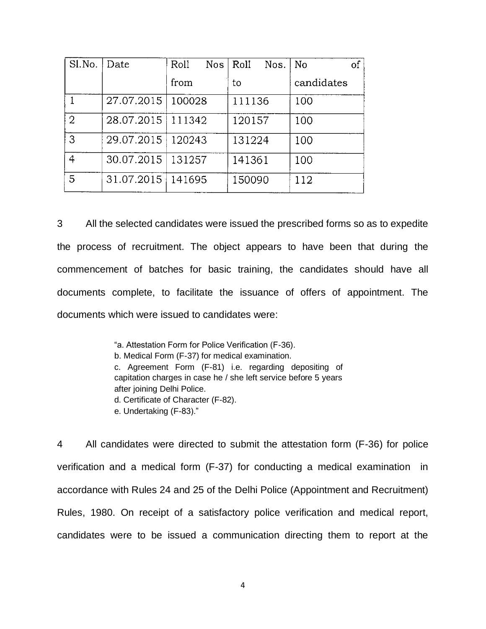| Sl.No.         | Date                | Roll<br>Nos. | Roll<br>Nos. | of<br>No   |
|----------------|---------------------|--------------|--------------|------------|
|                |                     | from         | to           | candidates |
|                | 27.07.2015          | 100028       | 111136       | 100        |
| $\overline{2}$ | 28.07.2015   111342 |              | 120157       | 100        |
| 3              | 29.07.2015   120243 |              | 131224       | 100        |
| 4              | 30.07.2015   131257 |              | 141361       | 100        |
| 5              | 31.07.2015   141695 |              | 150090       | 112        |

3 All the selected candidates were issued the prescribed forms so as to expedite the process of recruitment. The object appears to have been that during the commencement of batches for basic training, the candidates should have all documents complete, to facilitate the issuance of offers of appointment. The documents which were issued to candidates were:

> "a. Attestation Form for Police Verification (F-36). b. Medical Form (F-37) for medical examination. c. Agreement Form (F-81) i.e. regarding depositing of capitation charges in case he / she left service before 5 years after joining Delhi Police. d. Certificate of Character (F-82). e. Undertaking (F-83)."

4 All candidates were directed to submit the attestation form (F-36) for police verification and a medical form (F-37) for conducting a medical examination in accordance with Rules 24 and 25 of the Delhi Police (Appointment and Recruitment) Rules, 1980. On receipt of a satisfactory police verification and medical report, candidates were to be issued a communication directing them to report at the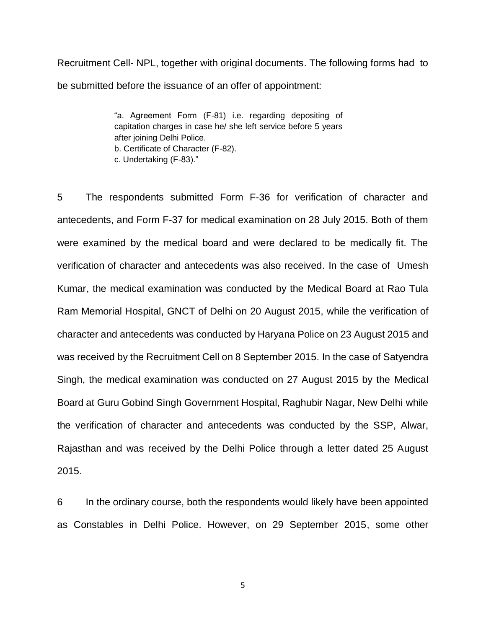Recruitment Cell- NPL, together with original documents. The following forms had to be submitted before the issuance of an offer of appointment:

> "a. Agreement Form (F-81) i.e. regarding depositing of capitation charges in case he/ she left service before 5 years after joining Delhi Police. b. Certificate of Character (F-82). c. Undertaking (F-83)."

5 The respondents submitted Form F-36 for verification of character and antecedents, and Form F-37 for medical examination on 28 July 2015. Both of them were examined by the medical board and were declared to be medically fit. The verification of character and antecedents was also received. In the case of Umesh Kumar, the medical examination was conducted by the Medical Board at Rao Tula Ram Memorial Hospital, GNCT of Delhi on 20 August 2015, while the verification of character and antecedents was conducted by Haryana Police on 23 August 2015 and was received by the Recruitment Cell on 8 September 2015. In the case of Satyendra Singh, the medical examination was conducted on 27 August 2015 by the Medical Board at Guru Gobind Singh Government Hospital, Raghubir Nagar, New Delhi while the verification of character and antecedents was conducted by the SSP, Alwar, Rajasthan and was received by the Delhi Police through a letter dated 25 August 2015.

6 In the ordinary course, both the respondents would likely have been appointed as Constables in Delhi Police. However, on 29 September 2015, some other

5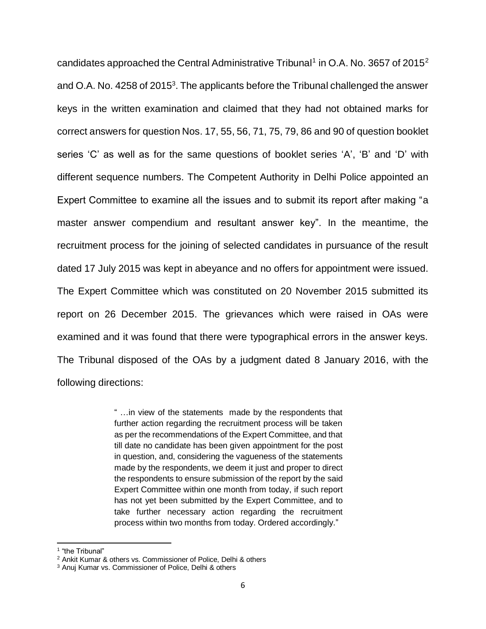candidates approached the Central Administrative Tribunal<sup>1</sup> in O.A. No. 3657 of 2015<sup>2</sup> and O.A. No. 4258 of 2015<sup>3</sup>. The applicants before the Tribunal challenged the answer keys in the written examination and claimed that they had not obtained marks for correct answers for question Nos. 17, 55, 56, 71, 75, 79, 86 and 90 of question booklet series 'C' as well as for the same questions of booklet series 'A', 'B' and 'D' with different sequence numbers. The Competent Authority in Delhi Police appointed an Expert Committee to examine all the issues and to submit its report after making "a master answer compendium and resultant answer key". In the meantime, the recruitment process for the joining of selected candidates in pursuance of the result dated 17 July 2015 was kept in abeyance and no offers for appointment were issued. The Expert Committee which was constituted on 20 November 2015 submitted its report on 26 December 2015. The grievances which were raised in OAs were examined and it was found that there were typographical errors in the answer keys. The Tribunal disposed of the OAs by a judgment dated 8 January 2016, with the following directions:

> " …in view of the statements made by the respondents that further action regarding the recruitment process will be taken as per the recommendations of the Expert Committee, and that till date no candidate has been given appointment for the post in question, and, considering the vagueness of the statements made by the respondents, we deem it just and proper to direct the respondents to ensure submission of the report by the said Expert Committee within one month from today, if such report has not yet been submitted by the Expert Committee, and to take further necessary action regarding the recruitment process within two months from today. Ordered accordingly."

 $\overline{\phantom{a}}$ 

<sup>1</sup> "the Tribunal"

<sup>2</sup> Ankit Kumar & others vs. Commissioner of Police, Delhi & others

<sup>3</sup> Anuj Kumar vs. Commissioner of Police, Delhi & others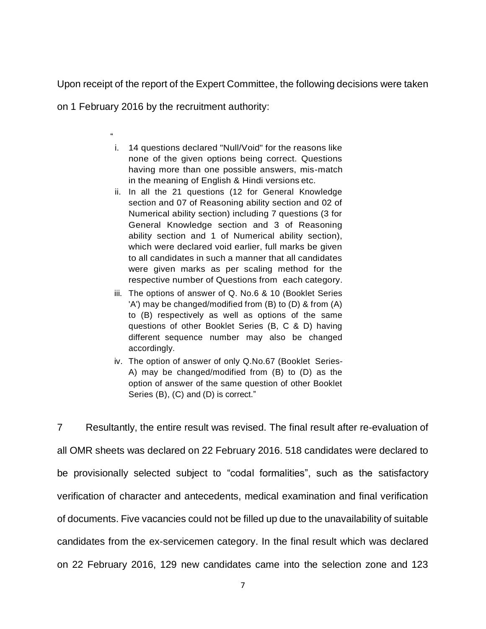Upon receipt of the report of the Expert Committee, the following decisions were taken

on 1 February 2016 by the recruitment authority:

"

- i. 14 questions declared "Null/Void" for the reasons like none of the given options being correct. Questions having more than one possible answers, mis-match in the meaning of English & Hindi versions etc.
- ii. In all the 21 questions (12 for General Knowledge section and 07 of Reasoning ability section and 02 of Numerical ability section) including 7 questions (3 for General Knowledge section and 3 of Reasoning ability section and 1 of Numerical ability section), which were declared void earlier, full marks be given to all candidates in such a manner that all candidates were given marks as per scaling method for the respective number of Questions from each category.
- iii. The options of answer of Q. No.6 & 10 (Booklet Series 'A') may be changed/modified from (B) to (D) & from (A) to (B) respectively as well as options of the same questions of other Booklet Series (B, C & D) having different sequence number may also be changed accordingly.
- iv. The option of answer of only Q.No.67 (Booklet Series-A) may be changed/modified from (B) to (D) as the option of answer of the same question of other Booklet Series (B), (C) and (D) is correct."

7 Resultantly, the entire result was revised. The final result after re-evaluation of all OMR sheets was declared on 22 February 2016. 518 candidates were declared to be provisionally selected subject to "codal formalities", such as the satisfactory verification of character and antecedents, medical examination and final verification of documents. Five vacancies could not be filled up due to the unavailability of suitable candidates from the ex-servicemen category. In the final result which was declared on 22 February 2016, 129 new candidates came into the selection zone and 123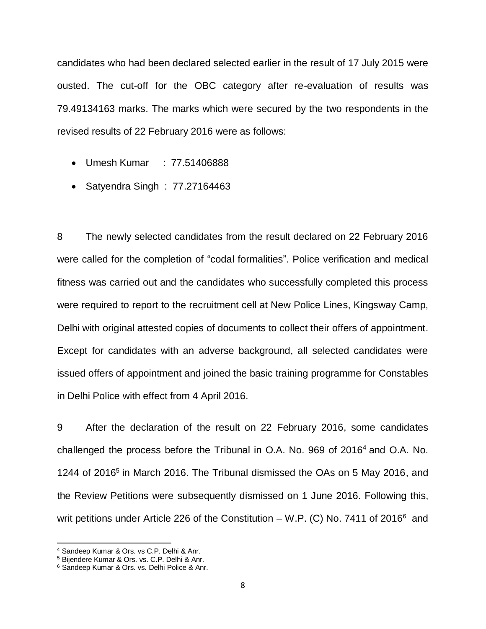candidates who had been declared selected earlier in the result of 17 July 2015 were ousted. The cut-off for the OBC category after re-evaluation of results was 79.49134163 marks. The marks which were secured by the two respondents in the revised results of 22 February 2016 were as follows:

- Umesh Kumar : 77.51406888
- Satyendra Singh: 77.27164463

8 The newly selected candidates from the result declared on 22 February 2016 were called for the completion of "codal formalities". Police verification and medical fitness was carried out and the candidates who successfully completed this process were required to report to the recruitment cell at New Police Lines, Kingsway Camp, Delhi with original attested copies of documents to collect their offers of appointment. Except for candidates with an adverse background, all selected candidates were issued offers of appointment and joined the basic training programme for Constables in Delhi Police with effect from 4 April 2016.

9 After the declaration of the result on 22 February 2016, some candidates challenged the process before the Tribunal in O.A. No. 969 of 2016<sup>4</sup> and O.A. No. 1244 of 2016<sup>5</sup> in March 2016. The Tribunal dismissed the OAs on 5 May 2016, and the Review Petitions were subsequently dismissed on 1 June 2016. Following this, writ petitions under Article 226 of the Constitution – W.P. (C) No. 7411 of 2016<sup>6</sup> and

 $\overline{\phantom{a}}$ 

<sup>4</sup> Sandeep Kumar & Ors. vs C.P. Delhi & Anr.

<sup>5</sup> Bijendere Kumar & Ors. vs. C.P. Delhi & Anr.

<sup>6</sup> Sandeep Kumar & Ors. vs. Delhi Police & Anr.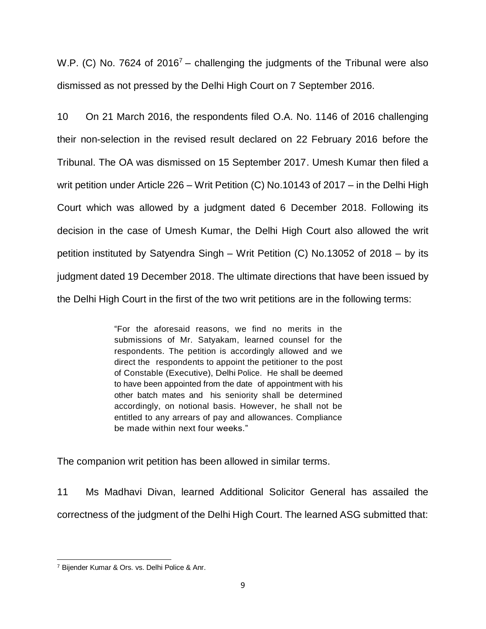W.P. (C) No. 7624 of  $2016<sup>7</sup>$  – challenging the judgments of the Tribunal were also dismissed as not pressed by the Delhi High Court on 7 September 2016.

10 On 21 March 2016, the respondents filed O.A. No. 1146 of 2016 challenging their non-selection in the revised result declared on 22 February 2016 before the Tribunal. The OA was dismissed on 15 September 2017. Umesh Kumar then filed a writ petition under Article 226 – Writ Petition (C) No.10143 of 2017 – in the Delhi High Court which was allowed by a judgment dated 6 December 2018. Following its decision in the case of Umesh Kumar, the Delhi High Court also allowed the writ petition instituted by Satyendra Singh – Writ Petition (C) No.13052 of 2018 – by its judgment dated 19 December 2018. The ultimate directions that have been issued by the Delhi High Court in the first of the two writ petitions are in the following terms:

> "For the aforesaid reasons, we find no merits in the submissions of Mr. Satyakam, learned counsel for the respondents. The petition is accordingly allowed and we direct the respondents to appoint the petitioner to the post of Constable (Executive), Delhi Police. He shall be deemed to have been appointed from the date of appointment with his other batch mates and his seniority shall be determined accordingly, on notional basis. However, he shall not be entitled to any arrears of pay and allowances. Compliance be made within next four weeks."

The companion writ petition has been allowed in similar terms.

11 Ms Madhavi Divan, learned Additional Solicitor General has assailed the correctness of the judgment of the Delhi High Court. The learned ASG submitted that:

 $\overline{\phantom{a}}$ <sup>7</sup> Bijender Kumar & Ors. vs. Delhi Police & Anr.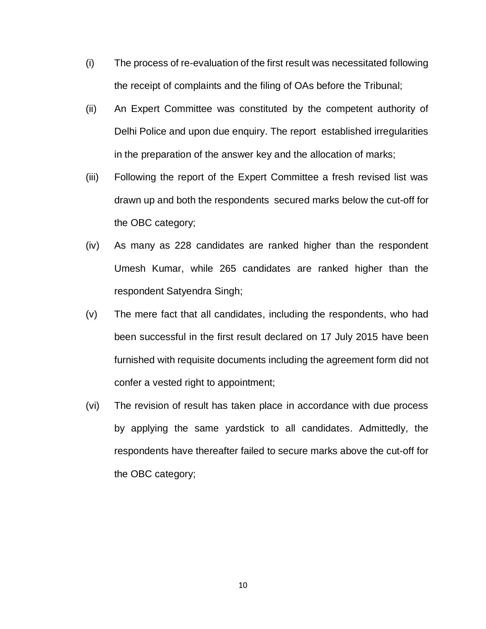- (i) The process of re-evaluation of the first result was necessitated following the receipt of complaints and the filing of OAs before the Tribunal;
- (ii) An Expert Committee was constituted by the competent authority of Delhi Police and upon due enquiry. The report established irregularities in the preparation of the answer key and the allocation of marks;
- (iii) Following the report of the Expert Committee a fresh revised list was drawn up and both the respondents secured marks below the cut-off for the OBC category;
- (iv) As many as 228 candidates are ranked higher than the respondent Umesh Kumar, while 265 candidates are ranked higher than the respondent Satyendra Singh;
- (v) The mere fact that all candidates, including the respondents, who had been successful in the first result declared on 17 July 2015 have been furnished with requisite documents including the agreement form did not confer a vested right to appointment;
- (vi) The revision of result has taken place in accordance with due process by applying the same yardstick to all candidates. Admittedly, the respondents have thereafter failed to secure marks above the cut-off for the OBC category;

10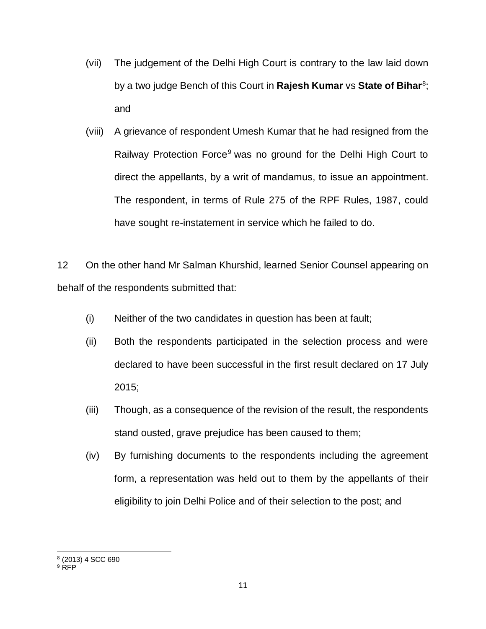- (vii) The judgement of the Delhi High Court is contrary to the law laid down by a two judge Bench of this Court in **Rajesh Kumar** vs **State of Bihar**<sup>8</sup>; and
- (viii) A grievance of respondent Umesh Kumar that he had resigned from the Railway Protection Force<sup>9</sup> was no ground for the Delhi High Court to direct the appellants, by a writ of mandamus, to issue an appointment. The respondent, in terms of Rule 275 of the RPF Rules, 1987, could have sought re-instatement in service which he failed to do.

12 On the other hand Mr Salman Khurshid, learned Senior Counsel appearing on behalf of the respondents submitted that:

- (i) Neither of the two candidates in question has been at fault;
- (ii) Both the respondents participated in the selection process and were declared to have been successful in the first result declared on 17 July 2015;
- (iii) Though, as a consequence of the revision of the result, the respondents stand ousted, grave prejudice has been caused to them;
- (iv) By furnishing documents to the respondents including the agreement form, a representation was held out to them by the appellants of their eligibility to join Delhi Police and of their selection to the post; and

 8 (2013) 4 SCC 690

 $9$  RFP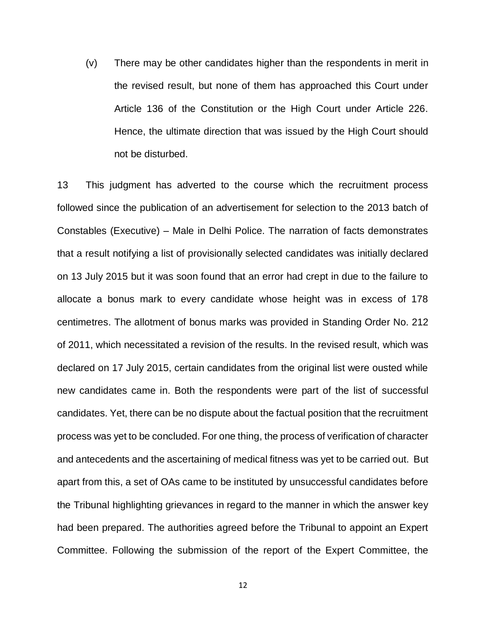(v) There may be other candidates higher than the respondents in merit in the revised result, but none of them has approached this Court under Article 136 of the Constitution or the High Court under Article 226. Hence, the ultimate direction that was issued by the High Court should not be disturbed.

13 This judgment has adverted to the course which the recruitment process followed since the publication of an advertisement for selection to the 2013 batch of Constables (Executive) – Male in Delhi Police. The narration of facts demonstrates that a result notifying a list of provisionally selected candidates was initially declared on 13 July 2015 but it was soon found that an error had crept in due to the failure to allocate a bonus mark to every candidate whose height was in excess of 178 centimetres. The allotment of bonus marks was provided in Standing Order No. 212 of 2011, which necessitated a revision of the results. In the revised result, which was declared on 17 July 2015, certain candidates from the original list were ousted while new candidates came in. Both the respondents were part of the list of successful candidates. Yet, there can be no dispute about the factual position that the recruitment process was yet to be concluded. For one thing, the process of verification of character and antecedents and the ascertaining of medical fitness was yet to be carried out. But apart from this, a set of OAs came to be instituted by unsuccessful candidates before the Tribunal highlighting grievances in regard to the manner in which the answer key had been prepared. The authorities agreed before the Tribunal to appoint an Expert Committee. Following the submission of the report of the Expert Committee, the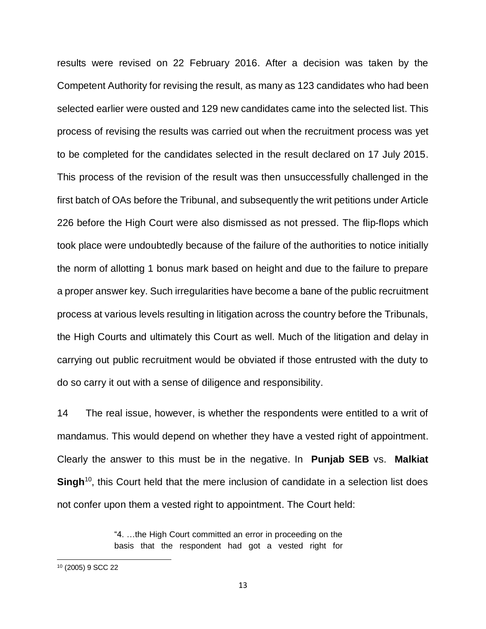results were revised on 22 February 2016. After a decision was taken by the Competent Authority for revising the result, as many as 123 candidates who had been selected earlier were ousted and 129 new candidates came into the selected list. This process of revising the results was carried out when the recruitment process was yet to be completed for the candidates selected in the result declared on 17 July 2015. This process of the revision of the result was then unsuccessfully challenged in the first batch of OAs before the Tribunal, and subsequently the writ petitions under Article 226 before the High Court were also dismissed as not pressed. The flip-flops which took place were undoubtedly because of the failure of the authorities to notice initially the norm of allotting 1 bonus mark based on height and due to the failure to prepare a proper answer key. Such irregularities have become a bane of the public recruitment process at various levels resulting in litigation across the country before the Tribunals, the High Courts and ultimately this Court as well. Much of the litigation and delay in carrying out public recruitment would be obviated if those entrusted with the duty to do so carry it out with a sense of diligence and responsibility.

14 The real issue, however, is whether the respondents were entitled to a writ of mandamus. This would depend on whether they have a vested right of appointment. Clearly the answer to this must be in the negative. In **Punjab SEB** vs. **Malkiat**  Singh<sup>10</sup>, this Court held that the mere inclusion of candidate in a selection list does not confer upon them a vested right to appointment. The Court held:

> "4. …the High Court committed an error in proceeding on the basis that the respondent had got a vested right for

 $\overline{\phantom{a}}$ 

<sup>10</sup> (2005) 9 SCC 22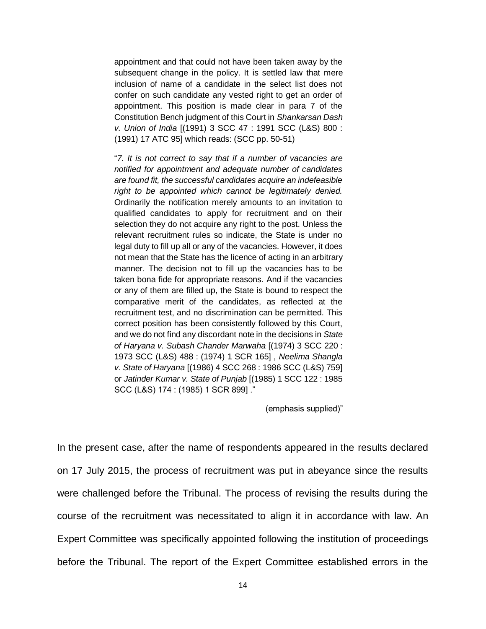appointment and that could not have been taken away by the subsequent change in the policy. It is settled law that mere inclusion of name of a candidate in the select list does not confer on such candidate any vested right to get an order of appointment. This position is made clear in para 7 of the Constitution Bench judgment of this Court in *Shankarsan Dash v. Union of India* [(1991) 3 SCC 47 : 1991 SCC (L&S) 800 : (1991) 17 ATC 95] which reads: (SCC pp. 50-51)

"*7. It is not correct to say that if a number of vacancies are notified for appointment and adequate number of candidates are found fit, the successful candidates acquire an indefeasible right to be appointed which cannot be legitimately denied.*  Ordinarily the notification merely amounts to an invitation to qualified candidates to apply for recruitment and on their selection they do not acquire any right to the post. Unless the relevant recruitment rules so indicate, the State is under no legal duty to fill up all or any of the vacancies. However, it does not mean that the State has the licence of acting in an arbitrary manner. The decision not to fill up the vacancies has to be taken bona fide for appropriate reasons. And if the vacancies or any of them are filled up, the State is bound to respect the comparative merit of the candidates, as reflected at the recruitment test, and no discrimination can be permitted. This correct position has been consistently followed by this Court, and we do not find any discordant note in the decisions in *State of Haryana v. Subash Chander Marwaha* [(1974) 3 SCC 220 : 1973 SCC (L&S) 488 : (1974) 1 SCR 165] , *Neelima Shangla v. State of Haryana* [(1986) 4 SCC 268 : 1986 SCC (L&S) 759] or *Jatinder Kumar v. State of Punjab* [(1985) 1 SCC 122 : 1985 SCC (L&S) 174 : (1985) 1 SCR 899] ."

(emphasis supplied)"

In the present case, after the name of respondents appeared in the results declared on 17 July 2015, the process of recruitment was put in abeyance since the results were challenged before the Tribunal. The process of revising the results during the course of the recruitment was necessitated to align it in accordance with law. An Expert Committee was specifically appointed following the institution of proceedings before the Tribunal. The report of the Expert Committee established errors in the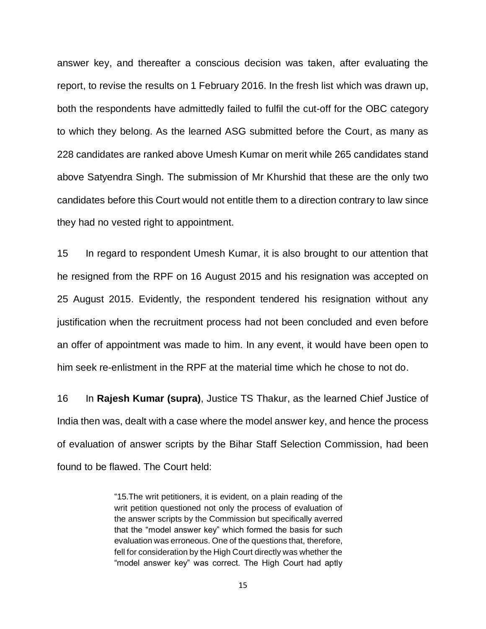answer key, and thereafter a conscious decision was taken, after evaluating the report, to revise the results on 1 February 2016. In the fresh list which was drawn up, both the respondents have admittedly failed to fulfil the cut-off for the OBC category to which they belong. As the learned ASG submitted before the Court, as many as 228 candidates are ranked above Umesh Kumar on merit while 265 candidates stand above Satyendra Singh. The submission of Mr Khurshid that these are the only two candidates before this Court would not entitle them to a direction contrary to law since they had no vested right to appointment.

15 In regard to respondent Umesh Kumar, it is also brought to our attention that he resigned from the RPF on 16 August 2015 and his resignation was accepted on 25 August 2015. Evidently, the respondent tendered his resignation without any justification when the recruitment process had not been concluded and even before an offer of appointment was made to him. In any event, it would have been open to him seek re-enlistment in the RPF at the material time which he chose to not do.

16 In **Rajesh Kumar (supra)**, Justice TS Thakur, as the learned Chief Justice of India then was, dealt with a case where the model answer key, and hence the process of evaluation of answer scripts by the Bihar Staff Selection Commission, had been found to be flawed. The Court held:

> "15.The writ petitioners, it is evident, on a plain reading of the writ petition questioned not only the process of evaluation of the answer scripts by the Commission but specifically averred that the "model answer key" which formed the basis for such evaluation was erroneous. One of the questions that, therefore, fell for consideration by the High Court directly was whether the "model answer key" was correct. The High Court had aptly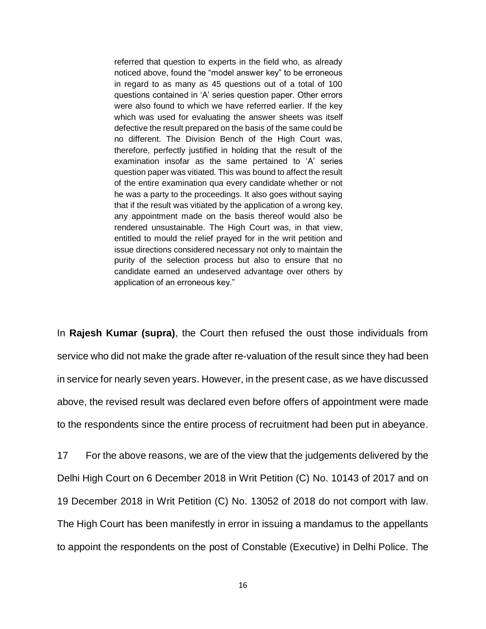referred that question to experts in the field who, as already noticed above, found the "model answer key" to be erroneous in regard to as many as 45 questions out of a total of 100 questions contained in 'A' series question paper. Other errors were also found to which we have referred earlier. If the key which was used for evaluating the answer sheets was itself defective the result prepared on the basis of the same could be no different. The Division Bench of the High Court was, therefore, perfectly justified in holding that the result of the examination insofar as the same pertained to 'A' series question paper was vitiated. This was bound to affect the result of the entire examination qua every candidate whether or not he was a party to the proceedings. It also goes without saying that if the result was vitiated by the application of a wrong key, any appointment made on the basis thereof would also be rendered unsustainable. The High Court was, in that view, entitled to mould the relief prayed for in the writ petition and issue directions considered necessary not only to maintain the purity of the selection process but also to ensure that no candidate earned an undeserved advantage over others by application of an erroneous key."

In **Rajesh Kumar (supra)**, the Court then refused the oust those individuals from service who did not make the grade after re-valuation of the result since they had been in service for nearly seven years. However, in the present case, as we have discussed above, the revised result was declared even before offers of appointment were made to the respondents since the entire process of recruitment had been put in abeyance.

17 For the above reasons, we are of the view that the judgements delivered by the Delhi High Court on 6 December 2018 in Writ Petition (C) No. 10143 of 2017 and on 19 December 2018 in Writ Petition (C) No. 13052 of 2018 do not comport with law. The High Court has been manifestly in error in issuing a mandamus to the appellants to appoint the respondents on the post of Constable (Executive) in Delhi Police. The